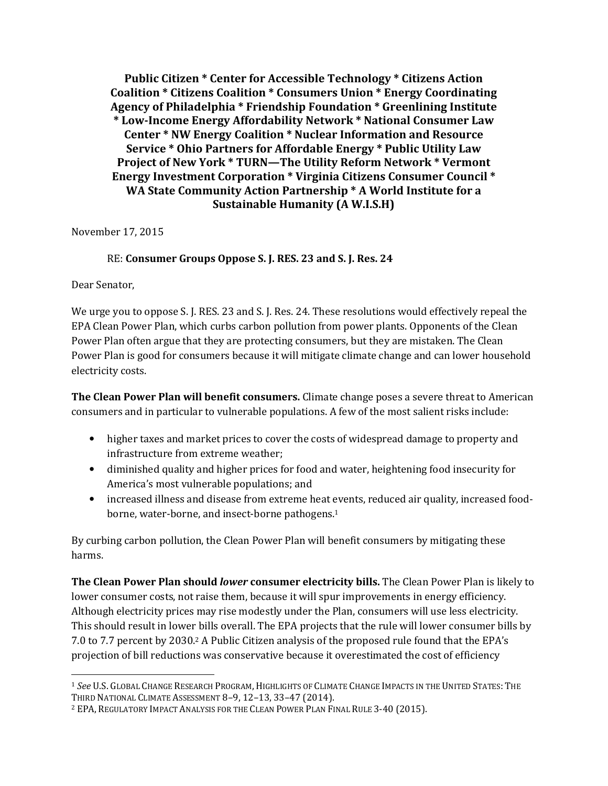**Public Citizen \* Center for Accessible Technology \* Citizens Action Coalition \* Citizens Coalition \* Consumers Union \* Energy Coordinating Agency of Philadelphia \* Friendship Foundation \* Greenlining Institute \* Low-Income Energy Affordability Network \* National Consumer Law Center \* NW Energy Coalition \* Nuclear Information and Resource Service \* Ohio Partners for Affordable Energy \* Public Utility Law Project of New York \* TURN—The Utility Reform Network \* Vermont Energy Investment Corporation \* Virginia Citizens Consumer Council \* WA State Community Action Partnership \* A World Institute for a Sustainable Humanity (A W.I.S.H)** 

November 17, 2015

## RE: **Consumer Groups Oppose S. J. RES. 23 and S. J. Res. 24**

Dear Senator,

We urge you to oppose S. J. RES. 23 and S. J. Res. 24. These resolutions would effectively repeal the EPA Clean Power Plan, which curbs carbon pollution from power plants. Opponents of the Clean Power Plan often argue that they are protecting consumers, but they are mistaken. The Clean Power Plan is good for consumers because it will mitigate climate change and can lower household electricity costs.

**The Clean Power Plan will benefit consumers.** Climate change poses a severe threat to American consumers and in particular to vulnerable populations. A few of the most salient risks include:

- higher taxes and market prices to cover the costs of widespread damage to property and infrastructure from extreme weather;
- diminished quality and higher prices for food and water, heightening food insecurity for America's most vulnerable populations; and
- increased illness and disease from extreme heat events, reduced air quality, increased foodborne, water-borne, and insect-borne pathogens.<sup>1</sup>

By curbing carbon pollution, the Clean Power Plan will benefit consumers by mitigating these harms.

**The Clean Power Plan should** *lower* **consumer electricity bills.** The Clean Power Plan is likely to lower consumer costs, not raise them, because it will spur improvements in energy efficiency. Although electricity prices may rise modestly under the Plan, consumers will use less electricity. This should result in lower bills overall. The EPA projects that the rule will lower consumer bills by 7.0 to 7.7 percent by 2030.2 A Public Citizen analysis of the proposed rule found that the EPA's projection of bill reductions was conservative because it overestimated the cost of efficiency

**<sup>.</sup>** <sup>1</sup> *See* U.S. GLOBAL CHANGE RESEARCH PROGRAM, HIGHLIGHTS OF CLIMATE CHANGE IMPACTS IN THE UNITED STATES: THE THIRD NATIONAL CLIMATE ASSESSMENT 8–9, 12–13, 33–47 (2014).

<sup>2</sup> EPA, REGULATORY IMPACT ANALYSIS FOR THE CLEAN POWER PLAN FINAL RULE 3-40 (2015).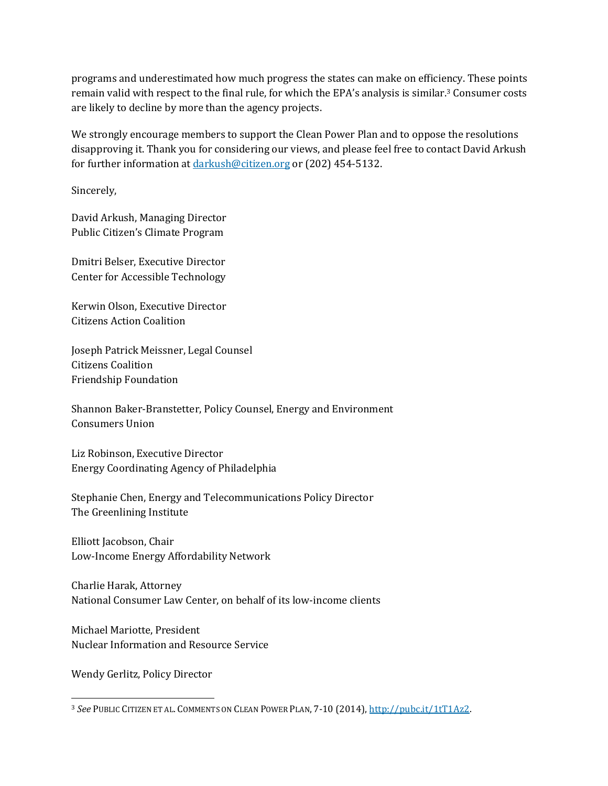programs and underestimated how much progress the states can make on efficiency. These points remain valid with respect to the final rule, for which the EPA's analysis is similar.3 Consumer costs are likely to decline by more than the agency projects.

We strongly encourage members to support the Clean Power Plan and to oppose the resolutions disapproving it. Thank you for considering our views, and please feel free to contact David Arkush for further information at darkush@citizen.org or (202) 454-5132.

Sincerely,

David Arkush, Managing Director Public Citizen's Climate Program

Dmitri Belser, Executive Director Center for Accessible Technology

Kerwin Olson, Executive Director Citizens Action Coalition

Joseph Patrick Meissner, Legal Counsel Citizens Coalition Friendship Foundation

Shannon Baker-Branstetter, Policy Counsel, Energy and Environment Consumers Union

Liz Robinson, Executive Director Energy Coordinating Agency of Philadelphia

Stephanie Chen, Energy and Telecommunications Policy Director The Greenlining Institute

Elliott Jacobson, Chair Low-Income Energy Affordability Network

Charlie Harak, Attorney National Consumer Law Center, on behalf of its low-income clients

Michael Mariotte, President Nuclear Information and Resource Service

Wendy Gerlitz, Policy Director

 $\overline{\phantom{a}}$ 

<sup>3</sup> *See* PUBLIC CITIZEN ET AL. COMMENTS ON CLEAN POWER PLAN, 7-10 (2014), http://pubc.it/1tT1Az2.